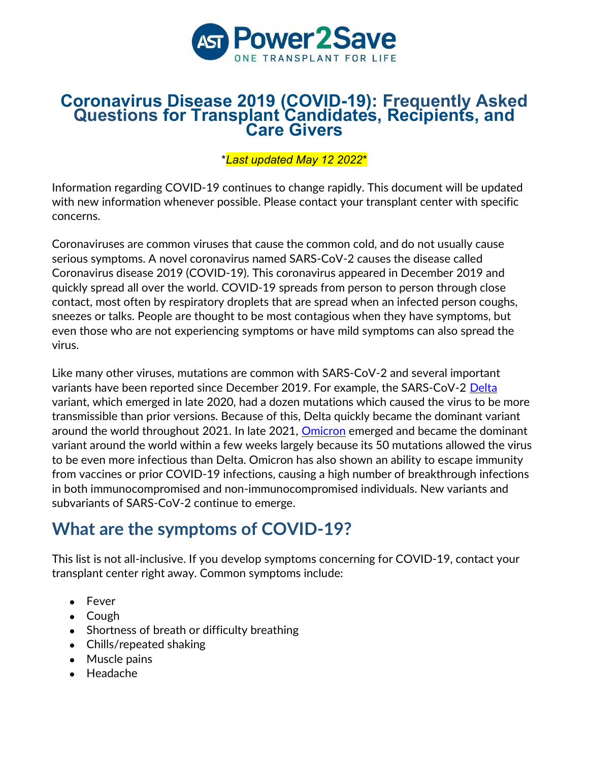

### Coronavirus Disease 2019 (COVID-19): Frequently Asked Questions for Transplant Candidates, Recipients, and Care Givers

\*Last updated May 12 2022\*

Information regarding COVID-19 continues to change rapidly. This document will be updated with new information whenever possible. Please contact your transplant center with specific concerns.

Coronaviruses are common viruses that cause the common cold, and do not usually cause serious symptoms. A novel coronavirus named SARS-CoV-2 causes the disease called Coronavirus disease 2019 (COVID-19). This coronavirus appeared in December 2019 and quickly spread all over the world. COVID-19 spreads from person to person through close contact, most often by respiratory droplets that are spread when an infected person coughs, sneezes or talks. People are thought to be most contagious when they have symptoms, but even those who are not experiencing symptoms or have mild symptoms can also spread the virus.

Like many other viruses, mutations are common with SARS-CoV-2 and several important variants have been reported since December 2019. For example, the SARS-CoV-2 Delta variant, which emerged in late 2020, had a dozen mutations which caused the virus to be more transmissible than prior versions. Because of this, Delta quickly became the dominant variant around the world throughout 2021. In late 2021, Omicron emerged and became the dominant variant around the world within a few weeks largely because its 50 mutations allowed the virus to be even more infectious than Delta. Omicron has also shown an ability to escape immunity from vaccines or prior COVID-19 infections, causing a high number of breakthrough infections in both immunocompromised and non-immunocompromised individuals. New variants and subvariants of SARS-CoV-2 continue to emerge.

## What are the symptoms of COVID-19?

This list is not all-inclusive. If you develop symptoms concerning for COVID-19, contact your transplant center right away. Common symptoms include:

- Fever
- Cough
- Shortness of breath or difficulty breathing
- Chills/repeated shaking
- Muscle pains
- Headache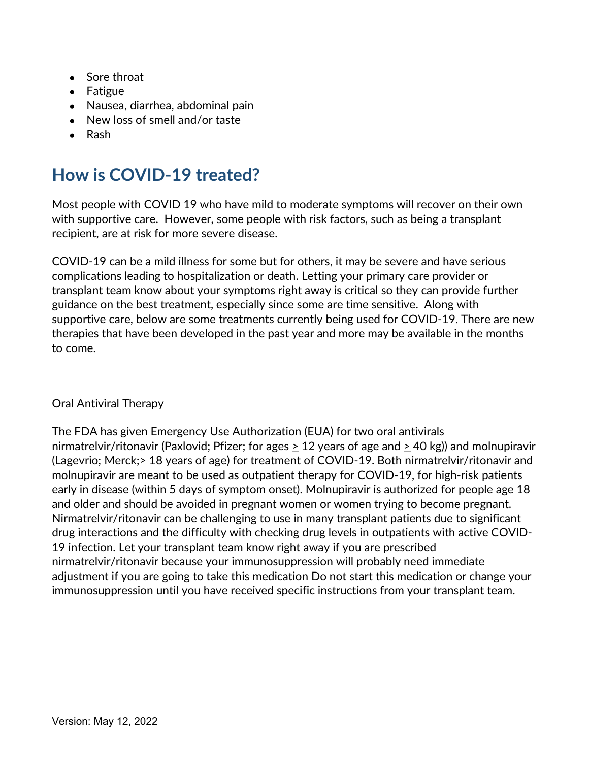- Sore throat
- Fatigue
- Nausea, diarrhea, abdominal pain
- New loss of smell and/or taste
- Rash

## How is COVID-19 treated?

Most people with COVID 19 who have mild to moderate symptoms will recover on their own with supportive care. However, some people with risk factors, such as being a transplant recipient, are at risk for more severe disease.

COVID-19 can be a mild illness for some but for others, it may be severe and have serious complications leading to hospitalization or death. Letting your primary care provider or transplant team know about your symptoms right away is critical so they can provide further guidance on the best treatment, especially since some are time sensitive. Along with supportive care, below are some treatments currently being used for COVID-19. There are new therapies that have been developed in the past year and more may be available in the months to come.

### Oral Antiviral Therapy

The FDA has given Emergency Use Authorization (EUA) for two oral antivirals nirmatrelvir/ritonavir (Paxlovid; Pfizer; for ages  $\geq 12$  years of age and  $\geq 40$  kg)) and molnupiravir (Lagevrio; Merck;> 18 years of age) for treatment of COVID-19. Both nirmatrelvir/ritonavir and molnupiravir are meant to be used as outpatient therapy for COVID-19, for high-risk patients early in disease (within 5 days of symptom onset). Molnupiravir is authorized for people age 18 and older and should be avoided in pregnant women or women trying to become pregnant. Nirmatrelvir/ritonavir can be challenging to use in many transplant patients due to significant drug interactions and the difficulty with checking drug levels in outpatients with active COVID-19 infection. Let your transplant team know right away if you are prescribed nirmatrelvir/ritonavir because your immunosuppression will probably need immediate adjustment if you are going to take this medication Do not start this medication or change your immunosuppression until you have received specific instructions from your transplant team.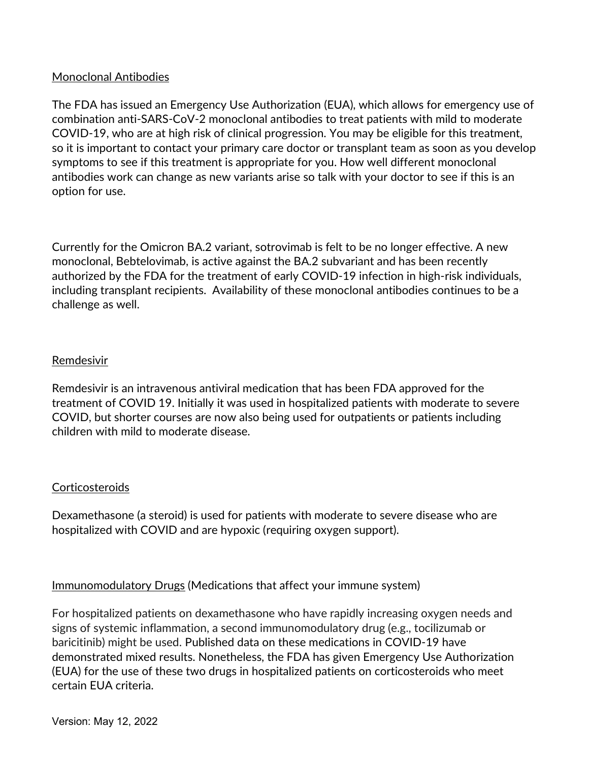### Monoclonal Antibodies

The FDA has issued an Emergency Use Authorization (EUA), which allows for emergency use of combination anti-SARS-CoV-2 monoclonal antibodies to treat patients with mild to moderate COVID-19, who are at high risk of clinical progression. You may be eligible for this treatment, so it is important to contact your primary care doctor or transplant team as soon as you develop symptoms to see if this treatment is appropriate for you. How well different monoclonal antibodies work can change as new variants arise so talk with your doctor to see if this is an option for use.

Currently for the Omicron BA.2 variant, sotrovimab is felt to be no longer effective. A new monoclonal, Bebtelovimab, is active against the BA.2 subvariant and has been recently authorized by the FDA for the treatment of early COVID-19 infection in high-risk individuals, including transplant recipients. Availability of these monoclonal antibodies continues to be a challenge as well.

#### Remdesivir

Remdesivir is an intravenous antiviral medication that has been FDA approved for the treatment of COVID 19. Initially it was used in hospitalized patients with moderate to severe COVID, but shorter courses are now also being used for outpatients or patients including children with mild to moderate disease.

### **Corticosteroids**

Dexamethasone (a steroid) is used for patients with moderate to severe disease who are hospitalized with COVID and are hypoxic (requiring oxygen support).

Immunomodulatory Drugs (Medications that affect your immune system)

For hospitalized patients on dexamethasone who have rapidly increasing oxygen needs and signs of systemic inflammation, a second immunomodulatory drug (e.g., tocilizumab or baricitinib) might be used. Published data on these medications in COVID-19 have demonstrated mixed results. Nonetheless, the FDA has given Emergency Use Authorization (EUA) for the use of these two drugs in hospitalized patients on corticosteroids who meet certain EUA criteria.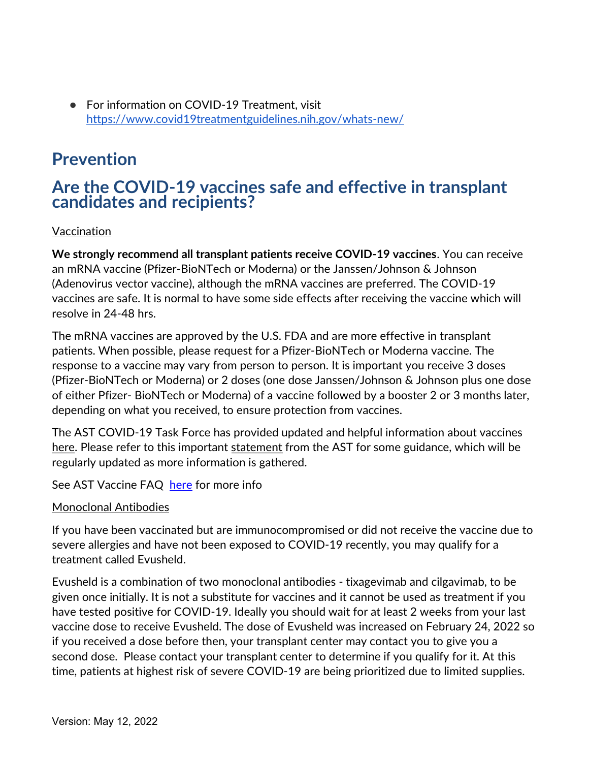● For information on COVID-19 Treatment, visit https://www.covid19treatmentguidelines.nih.gov/whats-new/

## Prevention

### Are the COVID-19 vaccines safe and effective in transplant candidates and recipients?

### Vaccination

We strongly recommend all transplant patients receive COVID-19 vaccines. You can receive an mRNA vaccine (Pfizer-BioNTech or Moderna) or the Janssen/Johnson & Johnson (Adenovirus vector vaccine), although the mRNA vaccines are preferred. The COVID-19 vaccines are safe. It is normal to have some side effects after receiving the vaccine which will resolve in 24-48 hrs.

The mRNA vaccines are approved by the U.S. FDA and are more effective in transplant patients. When possible, please request for a Pfizer-BioNTech or Moderna vaccine. The response to a vaccine may vary from person to person. It is important you receive 3 doses (Pfizer-BioNTech or Moderna) or 2 doses (one dose Janssen/Johnson & Johnson plus one dose of either Pfizer- BioNTech or Moderna) of a vaccine followed by a booster 2 or 3 months later, depending on what you received, to ensure protection from vaccines.

The AST COVID-19 Task Force has provided updated and helpful information about vaccines here. Please refer to this important statement from the AST for some guidance, which will be regularly updated as more information is gathered.

See AST Vaccine FAQ here for more info

#### Monoclonal Antibodies

If you have been vaccinated but are immunocompromised or did not receive the vaccine due to severe allergies and have not been exposed to COVID-19 recently, you may qualify for a treatment called Evusheld.

Evusheld is a combination of two monoclonal antibodies - tixagevimab and cilgavimab, to be given once initially. It is not a substitute for vaccines and it cannot be used as treatment if you have tested positive for COVID-19. Ideally you should wait for at least 2 weeks from your last vaccine dose to receive Evusheld. The dose of Evusheld was increased on February 24, 2022 so if you received a dose before then, your transplant center may contact you to give you a second dose. Please contact your transplant center to determine if you qualify for it. At this time, patients at highest risk of severe COVID-19 are being prioritized due to limited supplies.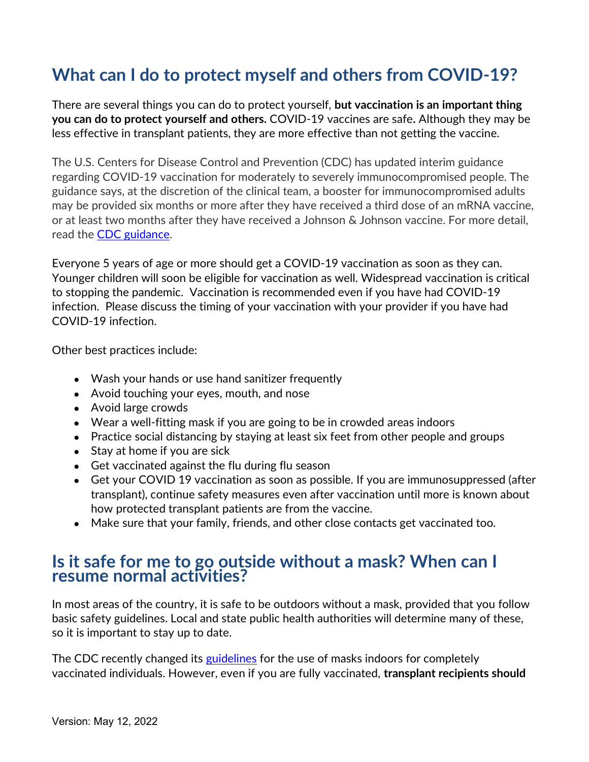## What can I do to protect myself and others from COVID-19?

There are several things you can do to protect yourself, but vaccination is an important thing you can do to protect yourself and others. COVID-19 vaccines are safe. Although they may be less effective in transplant patients, they are more effective than not getting the vaccine.

The U.S. Centers for Disease Control and Prevention (CDC) has updated interim guidance regarding COVID-19 vaccination for moderately to severely immunocompromised people. The guidance says, at the discretion of the clinical team, a booster for immunocompromised adults may be provided six months or more after they have received a third dose of an mRNA vaccine, or at least two months after they have received a Johnson & Johnson vaccine. For more detail, read the CDC guidance.

Everyone 5 years of age or more should get a COVID-19 vaccination as soon as they can. Younger children will soon be eligible for vaccination as well. Widespread vaccination is critical to stopping the pandemic. Vaccination is recommended even if you have had COVID-19 infection. Please discuss the timing of your vaccination with your provider if you have had COVID-19 infection.

Other best practices include:

- Wash your hands or use hand sanitizer frequently
- Avoid touching your eyes, mouth, and nose
- Avoid large crowds
- Wear a well-fitting mask if you are going to be in crowded areas indoors
- Practice social distancing by staying at least six feet from other people and groups
- Stay at home if you are sick
- Get vaccinated against the flu during flu season
- Get your COVID 19 vaccination as soon as possible. If you are immunosuppressed (after transplant), continue safety measures even after vaccination until more is known about how protected transplant patients are from the vaccine.
- Make sure that your family, friends, and other close contacts get vaccinated too.

### Is it safe for me to go outside without a mask? When can I resume normal activities?

In most areas of the country, it is safe to be outdoors without a mask, provided that you follow basic safety guidelines. Local and state public health authorities will determine many of these, so it is important to stay up to date.

The CDC recently changed its guidelines for the use of masks indoors for completely vaccinated individuals. However, even if you are fully vaccinated, transplant recipients should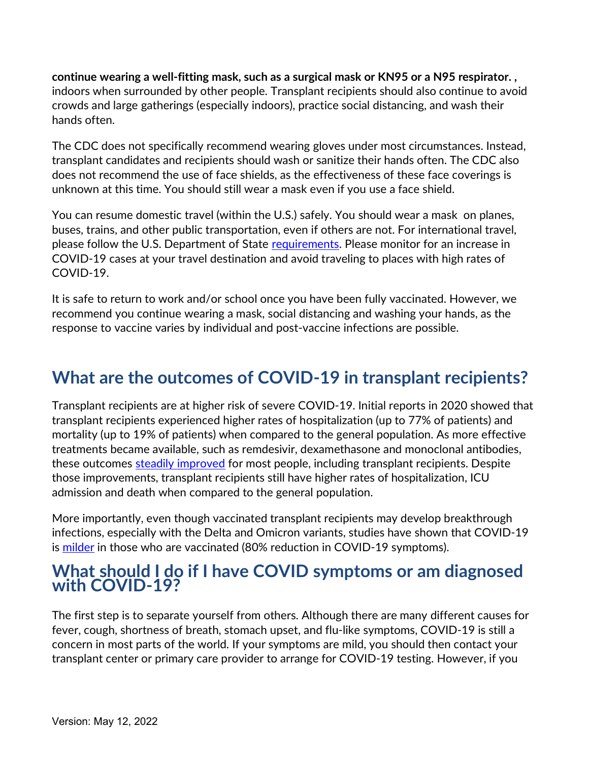continue wearing a well-fitting mask, such as a surgical mask or KN95 or a N95 respirator. , indoors when surrounded by other people. Transplant recipients should also continue to avoid crowds and large gatherings (especially indoors), practice social distancing, and wash their hands often.

The CDC does not specifically recommend wearing gloves under most circumstances. Instead, transplant candidates and recipients should wash or sanitize their hands often. The CDC also does not recommend the use of face shields, as the effectiveness of these face coverings is unknown at this time. You should still wear a mask even if you use a face shield.

You can resume domestic travel (within the U.S.) safely. You should wear a mask on planes, buses, trains, and other public transportation, even if others are not. For international travel, please follow the U.S. Department of State requirements. Please monitor for an increase in COVID-19 cases at your travel destination and avoid traveling to places with high rates of COVID-19.

It is safe to return to work and/or school once you have been fully vaccinated. However, we recommend you continue wearing a mask, social distancing and washing your hands, as the response to vaccine varies by individual and post-vaccine infections are possible.

## What are the outcomes of COVID-19 in transplant recipients?

Transplant recipients are at higher risk of severe COVID-19. Initial reports in 2020 showed that transplant recipients experienced higher rates of hospitalization (up to 77% of patients) and mortality (up to 19% of patients) when compared to the general population. As more effective treatments became available, such as remdesivir, dexamethasone and monoclonal antibodies, these outcomes steadily improved for most people, including transplant recipients. Despite those improvements, transplant recipients still have higher rates of hospitalization, ICU admission and death when compared to the general population.

More importantly, even though vaccinated transplant recipients may develop breakthrough infections, especially with the Delta and Omicron variants, studies have shown that COVID-19 is milder in those who are vaccinated (80% reduction in COVID-19 symptoms).

### What should I do if I have COVID symptoms or am diagnosed with COVID-19?

The first step is to separate yourself from others. Although there are many different causes for fever, cough, shortness of breath, stomach upset, and flu-like symptoms, COVID-19 is still a concern in most parts of the world. If your symptoms are mild, you should then contact your transplant center or primary care provider to arrange for COVID-19 testing. However, if you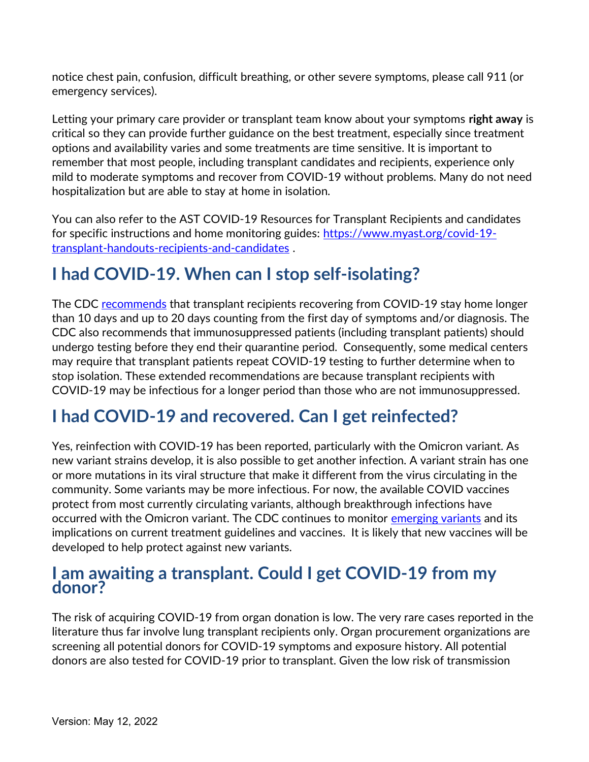notice chest pain, confusion, difficult breathing, or other severe symptoms, please call 911 (or emergency services).

Letting your primary care provider or transplant team know about your symptoms right away is critical so they can provide further guidance on the best treatment, especially since treatment options and availability varies and some treatments are time sensitive. It is important to remember that most people, including transplant candidates and recipients, experience only mild to moderate symptoms and recover from COVID-19 without problems. Many do not need hospitalization but are able to stay at home in isolation.

You can also refer to the AST COVID-19 Resources for Transplant Recipients and candidates for specific instructions and home monitoring guides: https://www.myast.org/covid-19 transplant-handouts-recipients-and-candidates .

## I had COVID-19. When can I stop self-isolating?

The CDC recommends that transplant recipients recovering from COVID-19 stay home longer than 10 days and up to 20 days counting from the first day of symptoms and/or diagnosis. The CDC also recommends that immunosuppressed patients (including transplant patients) should undergo testing before they end their quarantine period. Consequently, some medical centers may require that transplant patients repeat COVID-19 testing to further determine when to stop isolation. These extended recommendations are because transplant recipients with COVID-19 may be infectious for a longer period than those who are not immunosuppressed.

## I had COVID-19 and recovered. Can I get reinfected?

Yes, reinfection with COVID-19 has been reported, particularly with the Omicron variant. As new variant strains develop, it is also possible to get another infection. A variant strain has one or more mutations in its viral structure that make it different from the virus circulating in the community. Some variants may be more infectious. For now, the available COVID vaccines protect from most currently circulating variants, although breakthrough infections have occurred with the Omicron variant. The CDC continues to monitor emerging variants and its implications on current treatment guidelines and vaccines. It is likely that new vaccines will be developed to help protect against new variants.

### I am awaiting a transplant. Could I get COVID-19 from my donor?

The risk of acquiring COVID-19 from organ donation is low. The very rare cases reported in the literature thus far involve lung transplant recipients only. Organ procurement organizations are screening all potential donors for COVID-19 symptoms and exposure history. All potential donors are also tested for COVID-19 prior to transplant. Given the low risk of transmission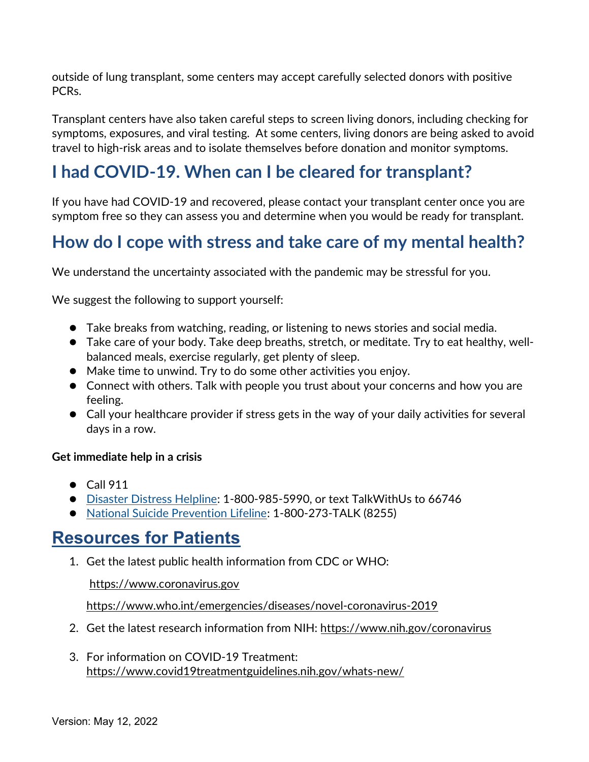outside of lung transplant, some centers may accept carefully selected donors with positive PCRs.

Transplant centers have also taken careful steps to screen living donors, including checking for symptoms, exposures, and viral testing. At some centers, living donors are being asked to avoid travel to high-risk areas and to isolate themselves before donation and monitor symptoms.

# I had COVID-19. When can I be cleared for transplant?

If you have had COVID-19 and recovered, please contact your transplant center once you are symptom free so they can assess you and determine when you would be ready for transplant.

## How do I cope with stress and take care of my mental health?

We understand the uncertainty associated with the pandemic may be stressful for you.

We suggest the following to support yourself:

- Take breaks from watching, reading, or listening to news stories and social media.
- Take care of your body. Take deep breaths, stretch, or meditate. Try to eat healthy, wellbalanced meals, exercise regularly, get plenty of sleep.
- Make time to unwind. Try to do some other activities you enjoy.
- Connect with others. Talk with people you trust about your concerns and how you are feeling.
- Call your healthcare provider if stress gets in the way of your daily activities for several days in a row.

#### Get immediate help in a crisis

- Call 911
- Disaster Distress Helpline: 1-800-985-5990, or text TalkWithUs to 66746
- National Suicide Prevention Lifeline: 1-800-273-TALK (8255)

### Resources for Patients

1. Get the latest public health information from CDC or WHO:

https://www.coronavirus.gov

https://www.who.int/emergencies/diseases/novel-coronavirus-2019

- 2. Get the latest research information from NIH: https://www.nih.gov/coronavirus
- 3. For information on COVID-19 Treatment: https://www.covid19treatmentguidelines.nih.gov/whats-new/